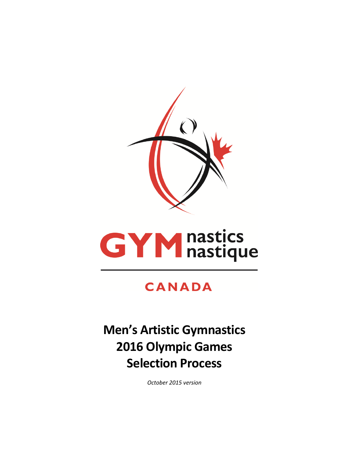

# **GYM** nastics<br> **GYM** nastique

# **CANADA**

**Men's Artistic Gymnastics 2016 Olympic Games Selection Process**

*October 2015 version*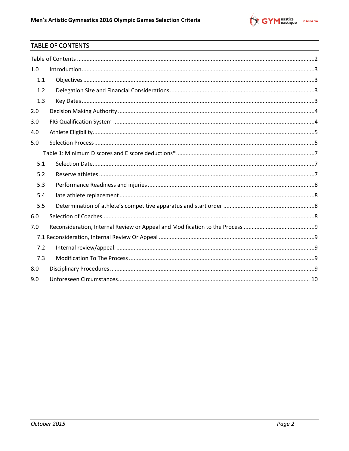# <span id="page-1-0"></span>TABLE OF CONTENTS

| 1.0 |  |  |  |  |  |
|-----|--|--|--|--|--|
| 1.1 |  |  |  |  |  |
| 1.2 |  |  |  |  |  |
| 1.3 |  |  |  |  |  |
| 2.0 |  |  |  |  |  |
| 3.0 |  |  |  |  |  |
| 4.0 |  |  |  |  |  |
| 5.0 |  |  |  |  |  |
|     |  |  |  |  |  |
| 5.1 |  |  |  |  |  |
| 5.2 |  |  |  |  |  |
| 5.3 |  |  |  |  |  |
| 5.4 |  |  |  |  |  |
| 5.5 |  |  |  |  |  |
| 6.0 |  |  |  |  |  |
| 7.0 |  |  |  |  |  |
|     |  |  |  |  |  |
| 7.2 |  |  |  |  |  |
| 7.3 |  |  |  |  |  |
| 8.0 |  |  |  |  |  |
| 9.0 |  |  |  |  |  |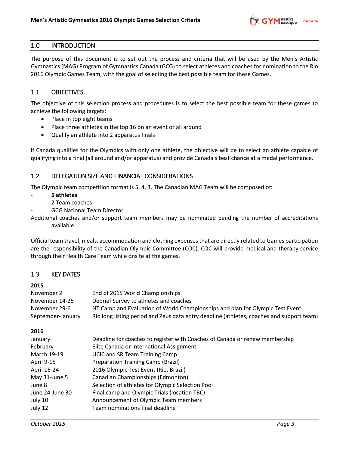

# <span id="page-2-0"></span>1.0 INTRODUCTION

The purpose of this document is to set out the process and criteria that will be used by the Men's Artistic Gymnastics (MAG) Program of Gymnastics Canada (GCG) to select athletes and coaches for nomination to the Rio 2016 Olympic Games Team, with the goal of selecting the best possible team for these Games.

# <span id="page-2-1"></span>1.1 OBJECTIVES

The objective of this selection process and procedures is to select the best possible team for these games to achieve the following targets:

- Place in top eight teams
- Place three athletes in the top 16 on an event or all around
- Qualify an athlete into 2 apparatus finals

If Canada qualifies for the Olympics with only one athlete, the objective will be to select an athlete capable of qualifying into a final (all around and/or apparatus) and provide Canada's best chance at a medal performance.

# <span id="page-2-2"></span>1.2 DELEGATION SIZE AND FINANCIAL CONSIDERATIONS

The Olympic team competition format is 5, 4, 3. The Canadian MAG Team will be composed of:

- **5 athletes**
- 2 Team coaches
- GCG National Team Director

Additional coaches and/or support team members may be nominated pending the number of accreditations available.

Official team travel, meals, accommodation and clothing expenses that are directly related to Games participation are the responsibility of the Canadian Olympic Committee (COC). COC will provide medical and therapy service through their Health Care Team while onsite at the games.

#### <span id="page-2-3"></span>1.3 KEY DATES

#### **2015**

| November 2        | End of 2015 World Championships                                                           |
|-------------------|-------------------------------------------------------------------------------------------|
| November 14-25    | Debrief Survey to athletes and coaches                                                    |
| November 29-6     | NT Camp and Evaluation of World Championships and plan for Olympic Test Event             |
| September-January | Rio long listing period and Zeus data entry deadline (athletes, coaches and support team) |

#### **2016**

| January         | Deadline for coaches to register with Coaches of Canada or renew membership |
|-----------------|-----------------------------------------------------------------------------|
| February        | Elite Canada or International Assignment                                    |
| March 19-19     | <b>UCIC and SR Team Training Camp</b>                                       |
| April 9-15      | <b>Preparation Training Camp (Brazil)</b>                                   |
| April 16-24     | 2016 Olympic Test Event (Rio, Brazil)                                       |
| May 31-June 5   | Canadian Championships (Edmonton)                                           |
| June 8          | Selection of athletes for Olympic Selection Pool                            |
| June 24-June 30 | Final camp and Olympic Trials (location TBC)                                |
| July 10         | Announcement of Olympic Team members                                        |
| July 12         | Team nominations final deadline                                             |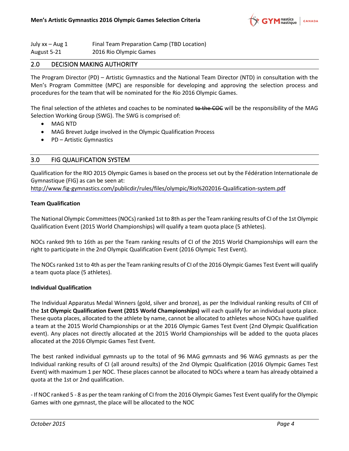

| July xx - Aug 1 | Final Team Preparation Camp (TBD Location) |
|-----------------|--------------------------------------------|
| August 5-21     | 2016 Rio Olympic Games                     |

#### <span id="page-3-0"></span>2.0 DECISION MAKING AUTHORITY

The Program Director (PD) – Artistic Gymnastics and the National Team Director (NTD) in consultation with the Men's Program Committee (MPC) are responsible for developing and approving the selection process and procedures for the team that will be nominated for the Rio 2016 Olympic Games.

The final selection of the athletes and coaches to be nominated to the COC will be the responsibility of the MAG Selection Working Group (SWG). The SWG is comprised of:

- MAG NTD
- MAG Brevet Judge involved in the Olympic Qualification Process
- PD Artistic Gymnastics

#### <span id="page-3-1"></span>3.0 FIG QUALIFICATION SYSTEM

Qualification for the RIO 2015 Olympic Games is based on the process set out by the Fédération Internationale de Gymnastique (FIG) as can be seen at:

<http://www.fig-gymnastics.com/publicdir/rules/files/olympic/Rio%202016-Qualification-system.pdf>

#### **Team Qualification**

The National Olympic Committees (NOCs) ranked 1st to 8th as per the Team ranking results of CI of the 1st Olympic Qualification Event (2015 World Championships) will qualify a team quota place (5 athletes).

NOCs ranked 9th to 16th as per the Team ranking results of CI of the 2015 World Championships will earn the right to participate in the 2nd Olympic Qualification Event (2016 Olympic Test Event).

The NOCs ranked 1st to 4th as per the Team ranking results of CI of the 2016 Olympic Games Test Event will qualify a team quota place (5 athletes).

#### **Individual Qualification**

The Individual Apparatus Medal Winners (gold, silver and bronze), as per the Individual ranking results of CIII of the **1st Olympic Qualification Event (2015 World Championships)** will each qualify for an individual quota place. These quota places, allocated to the athlete by name, cannot be allocated to athletes whose NOCs have qualified a team at the 2015 World Championships or at the 2016 Olympic Games Test Event (2nd Olympic Qualification event). Any places not directly allocated at the 2015 World Championships will be added to the quota places allocated at the 2016 Olympic Games Test Event.

The best ranked individual gymnasts up to the total of 96 MAG gymnasts and 96 WAG gymnasts as per the Individual ranking results of CI (all around results) of the 2nd Olympic Qualification (2016 Olympic Games Test Event) with maximum 1 per NOC. These places cannot be allocated to NOCs where a team has already obtained a quota at the 1st or 2nd qualification.

- If NOC ranked 5 - 8 as per the team ranking of CI from the 2016 Olympic Games Test Event qualify for the Olympic Games with one gymnast, the place will be allocated to the NOC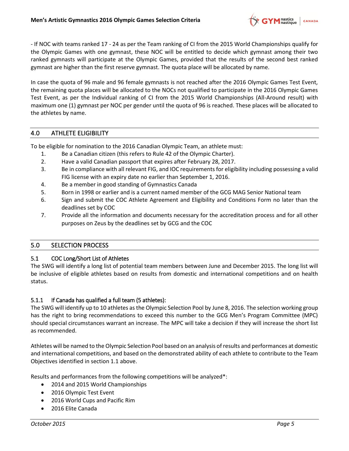

- If NOC with teams ranked 17 - 24 as per the Team ranking of CI from the 2015 World Championships qualify for the Olympic Games with one gymnast, these NOC will be entitled to decide which gymnast among their two ranked gymnasts will participate at the Olympic Games, provided that the results of the second best ranked gymnast are higher than the first reserve gymnast. The quota place will be allocated by name.

In case the quota of 96 male and 96 female gymnasts is not reached after the 2016 Olympic Games Test Event, the remaining quota places will be allocated to the NOCs not qualified to participate in the 2016 Olympic Games Test Event, as per the Individual ranking of CI from the 2015 World Championships (All-Around result) with maximum one (1) gymnast per NOC per gender until the quota of 96 is reached. These places will be allocated to the athletes by name.

#### <span id="page-4-0"></span>4.0 ATHLETE ELIGIBILITY

To be eligible for nomination to the 2016 Canadian Olympic Team, an athlete must:

- 1. Be a Canadian citizen (this refers to Rule 42 of the Olympic Charter).
- 2. Have a valid Canadian passport that expires after February 28, 2017.
- 3. Be in compliance with all relevant FIG, and IOC requirements for eligibility including possessing a valid FIG license with an expiry date no earlier than September 1, 2016.
- 4. Be a member in good standing of Gymnastics Canada
- 5. Born in 1998 or earlier and is a current named member of the GCG MAG Senior National team
- 6. Sign and submit the COC Athlete Agreement and Eligibility and Conditions Form no later than the deadlines set by COC
- 7. Provide all the information and documents necessary for the accreditation process and for all other purposes on Zeus by the deadlines set by GCG and the COC

#### <span id="page-4-1"></span>5.0 SELECTION PROCESS

#### 5.1 COC Long/Short List of Athletes

The SWG will identify a long list of potential team members between June and December 2015. The long list will be inclusive of eligible athletes based on results from domestic and international competitions and on health status.

#### 5.1.1 If Canada has qualified a full team (5 athletes):

The SWG will identify up to 10 athletes as the Olympic Selection Pool by June 8, 2016. The selection working group has the right to bring recommendations to exceed this number to the GCG Men's Program Committee (MPC) should special circumstances warrant an increase. The MPC will take a decision if they will increase the short list as recommended.

Athletes will be named to the Olympic Selection Pool based on an analysis of results and performances at domestic and international competitions, and based on the demonstrated ability of each athlete to contribute to the Team Objectives identified in section 1.1 above.

Results and performances from the following competitions will be analyzed\*:

- 2014 and 2015 World Championships
- 2016 Olympic Test Event
- 2016 World Cups and Pacific Rim
- 2016 Elite Canada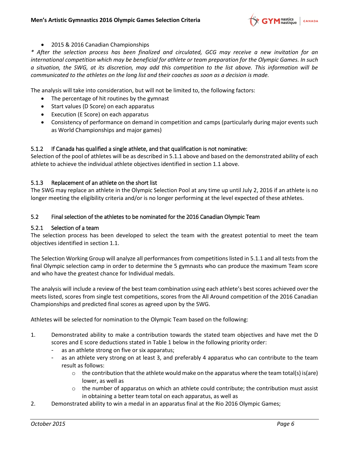

2015 & 2016 Canadian Championships

*\* After the selection process has been finalized and circulated, GCG may receive a new invitation for an international competition which may be beneficial for athlete or team preparation for the Olympic Games. In such a situation, the SWG, at its discretion, may add this competition to the list above. This information will be communicated to the athletes on the long list and their coaches as soon as a decision is made.*

The analysis will take into consideration, but will not be limited to, the following factors:

- The percentage of hit routines by the gymnast
- Start values (D Score) on each apparatus
- Execution (E Score) on each apparatus
- Consistency of performance on demand in competition and camps (particularly during major events such as World Championships and major games)

#### 5.1.2 If Canada has qualified a single athlete, and that qualification is not nominative:

Selection of the pool of athletes will be as described in 5.1.1 above and based on the demonstrated ability of each athlete to achieve the individual athlete objectives identified in section 1.1 above.

#### 5.1.3 Replacement of an athlete on the short list

The SWG may replace an athlete in the Olympic Selection Pool at any time up until July 2, 2016 if an athlete is no longer meeting the eligibility criteria and/or is no longer performing at the level expected of these athletes.

#### 5.2 Final selection of the athletes to be nominated for the 2016 Canadian Olympic Team

#### 5.2.1 Selection of a team

The selection process has been developed to select the team with the greatest potential to meet the team objectives identified in section 1.1.

The Selection Working Group will analyze all performances from competitions listed in 5.1.1 and all tests from the final Olympic selection camp in order to determine the 5 gymnasts who can produce the maximum Team score and who have the greatest chance for Individual medals.

The analysis will include a review of the best team combination using each athlete's best scores achieved over the meets listed, scores from single test competitions, scores from the All Around competition of the 2016 Canadian Championships and predicted final scores as agreed upon by the SWG.

Athletes will be selected for nomination to the Olympic Team based on the following:

- 1. Demonstrated ability to make a contribution towards the stated team objectives and have met the D scores and E score deductions stated in Table 1 below in the following priority order:
	- as an athlete strong on five or six apparatus;
	- as an athlete very strong on at least 3, and preferably 4 apparatus who can contribute to the team result as follows:
		- $\circ$  the contribution that the athlete would make on the apparatus where the team total(s) is(are) lower, as well as
		- $\circ$  the number of apparatus on which an athlete could contribute; the contribution must assist in obtaining a better team total on each apparatus, as well as
- 2. Demonstrated ability to win a medal in an apparatus final at the Rio 2016 Olympic Games;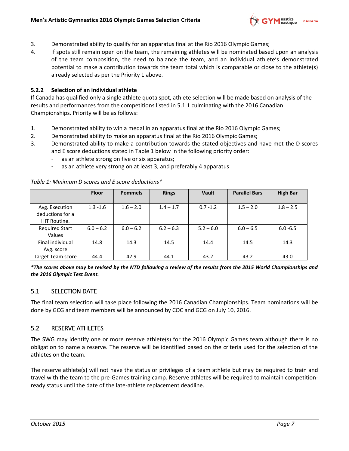

- 3. Demonstrated ability to qualify for an apparatus final at the Rio 2016 Olympic Games;
- 4. If spots still remain open on the team, the remaining athletes will be nominated based upon an analysis of the team composition, the need to balance the team, and an individual athlete's demonstrated potential to make a contribution towards the team total which is comparable or close to the athlete(s) already selected as per the Priority 1 above.

#### **5.2.2 Selection of an individual athlete**

If Canada has qualified only a single athlete quota spot, athlete selection will be made based on analysis of the results and performances from the competitions listed in 5.1.1 culminating with the 2016 Canadian Championships. Priority will be as follows:

- 1. Demonstrated ability to win a medal in an apparatus final at the Rio 2016 Olympic Games;
- 2. Demonstrated ability to make an apparatus final at the Rio 2016 Olympic Games;
- 3. Demonstrated ability to make a contribution towards the stated objectives and have met the D scores and E score deductions stated in Table 1 below in the following priority order:
	- as an athlete strong on five or six apparatus;
	- as an athlete very strong on at least 3, and preferably 4 apparatus

|                                                    | <b>Floor</b> | <b>Pommels</b> | <b>Rings</b> | Vault       | <b>Parallel Bars</b> | <b>High Bar</b> |
|----------------------------------------------------|--------------|----------------|--------------|-------------|----------------------|-----------------|
| Avg. Execution<br>deductions for a<br>HIT Routine. | $1.3 - 1.6$  | $1.6 - 2.0$    | $1.4 - 1.7$  | $0.7 - 1.2$ | $1.5 - 2.0$          | $1.8 - 2.5$     |
| <b>Required Start</b><br>Values                    | $6.0 - 6.2$  | $6.0 - 6.2$    | $6.2 - 6.3$  | $5.2 - 6.0$ | $6.0 - 6.5$          | $6.0 - 6.5$     |
| Final individual<br>Avg. score                     | 14.8         | 14.3           | 14.5         | 14.4        | 14.5                 | 14.3            |
| <b>Target Team score</b>                           | 44.4         | 42.9           | 44.1         | 43.2        | 43.2                 | 43.0            |

<span id="page-6-0"></span>*Table 1: Minimum D scores and E score deductions\**

*\*The scores above may be revised by the NTD following a review of the results from the 2015 World Championships and the 2016 Olympic Test Event.*

# <span id="page-6-1"></span>5.1 SELECTION DATE

The final team selection will take place following the 2016 Canadian Championships. Team nominations will be done by GCG and team members will be announced by COC and GCG on July 10, 2016.

#### <span id="page-6-2"></span>5.2 RESERVE ATHLETES

The SWG may identify one or more reserve athlete(s) for the 2016 Olympic Games team although there is no obligation to name a reserve. The reserve will be identified based on the criteria used for the selection of the athletes on the team.

The reserve athlete(s) will not have the status or privileges of a team athlete but may be required to train and travel with the team to the pre-Games training camp. Reserve athletes will be required to maintain competitionready status until the date of the late-athlete replacement deadline.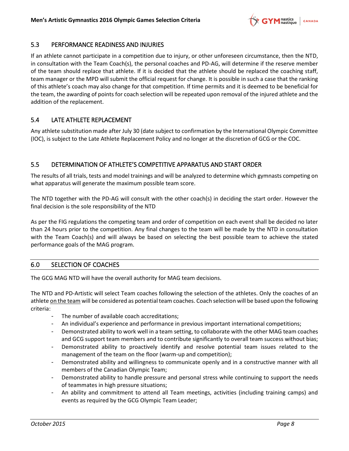### <span id="page-7-0"></span>5.3 PERFORMANCE READINESS AND INJURIES

If an athlete cannot participate in a competition due to injury, or other unforeseen circumstance, then the NTD, in consultation with the Team Coach(s), the personal coaches and PD-AG, will determine if the reserve member of the team should replace that athlete. If it is decided that the athlete should be replaced the coaching staff, team manager or the MPD will submit the official request for change. It is possible in such a case that the ranking of this athlete's coach may also change for that competition. If time permits and it is deemed to be beneficial for the team, the awarding of points for coach selection will be repeated upon removal of the injured athlete and the addition of the replacement.

# <span id="page-7-1"></span>5.4 LATE ATHLETE REPLACEMENT

Any athlete substitution made after July 30 (date subject to confirmation by the International Olympic Committee (IOC), is subject to the Late Athlete Replacement Policy and no longer at the discretion of GCG or the COC.

# <span id="page-7-2"></span>5.5 DETERMINATION OF ATHLETE'S COMPETITIVE APPARATUS AND START ORDER

The results of all trials, tests and model trainings and will be analyzed to determine which gymnasts competing on what apparatus will generate the maximum possible team score.

The NTD together with the PD-AG will consult with the other coach(s) in deciding the start order. However the final decision is the sole responsibility of the NTD

As per the FIG regulations the competing team and order of competition on each event shall be decided no later than 24 hours prior to the competition. Any final changes to the team will be made by the NTD in consultation with the Team Coach(s) and will always be based on selecting the best possible team to achieve the stated performance goals of the MAG program.

#### <span id="page-7-3"></span>6.0 SELECTION OF COACHES

The GCG MAG NTD will have the overall authority for MAG team decisions.

The NTD and PD-Artistic will select Team coaches following the selection of the athletes. Only the coaches of an athlete on the team will be considered as potential team coaches. Coach selection will be based upon the following criteria:

- The number of available coach accreditations;
- An individual's experience and performance in previous important international competitions;
- Demonstrated ability to work well in a team setting, to collaborate with the other MAG team coaches and GCG support team members and to contribute significantly to overall team success without bias;
- Demonstrated ability to proactively identify and resolve potential team issues related to the management of the team on the floor (warm-up and competition);
- Demonstrated ability and willingness to communicate openly and in a constructive manner with all members of the Canadian Olympic Team;
- Demonstrated ability to handle pressure and personal stress while continuing to support the needs of teammates in high pressure situations;
- An ability and commitment to attend all Team meetings, activities (including training camps) and events as required by the GCG Olympic Team Leader;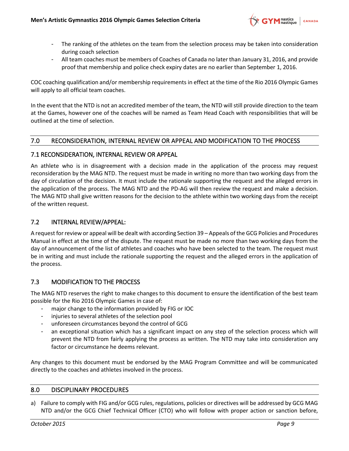

- The ranking of the athletes on the team from the selection process may be taken into consideration during coach selection
- All team coaches must be members of Coaches of Canada no later than January 31, 2016, and provide proof that membership and police check expiry dates are no earlier than September 1, 2016.

COC coaching qualification and/or membership requirements in effect at the time of the Rio 2016 Olympic Games will apply to all official team coaches.

In the event that the NTD is not an accredited member of the team, the NTD will still provide direction to the team at the Games, however one of the coaches will be named as Team Head Coach with responsibilities that will be outlined at the time of selection.

#### <span id="page-8-0"></span>7.0 RECONSIDERATION, INTERNAL REVIEW OR APPEAL AND MODIFICATION TO THE PROCESS

#### <span id="page-8-1"></span>7.1 RECONSIDERATION, INTERNAL REVIEW OR APPEAL

An athlete who is in disagreement with a decision made in the application of the process may request reconsideration by the MAG NTD. The request must be made in writing no more than two working days from the day of circulation of the decision. It must include the rationale supporting the request and the alleged errors in the application of the process. The MAG NTD and the PD-AG will then review the request and make a decision. The MAG NTD shall give written reasons for the decision to the athlete within two working days from the receipt of the written request.

#### <span id="page-8-2"></span>7.2 INTERNAL REVIEW/APPEAL:

A request for review or appeal will be dealt with according Section 39 – Appeals of the GCG Policies and Procedures Manual in effect at the time of the dispute. The request must be made no more than two working days from the day of announcement of the list of athletes and coaches who have been selected to the team. The request must be in writing and must include the rationale supporting the request and the alleged errors in the application of the process.

#### <span id="page-8-3"></span>7.3 MODIFICATION TO THE PROCESS

The MAG NTD reserves the right to make changes to this document to ensure the identification of the best team possible for the Rio 2016 Olympic Games in case of:

- major change to the information provided by FIG or IOC
- injuries to several athletes of the selection pool
- unforeseen circumstances beyond the control of GCG
- an exceptional situation which has a significant impact on any step of the selection process which will prevent the NTD from fairly applying the process as written. The NTD may take into consideration any factor or circumstance he deems relevant.

Any changes to this document must be endorsed by the MAG Program Committee and will be communicated directly to the coaches and athletes involved in the process.

#### <span id="page-8-4"></span>8.0 DISCIPLINARY PROCEDURES

a) Failure to comply with FIG and/or GCG rules, regulations, policies or directives will be addressed by GCG MAG NTD and/or the GCG Chief Technical Officer (CTO) who will follow with proper action or sanction before,